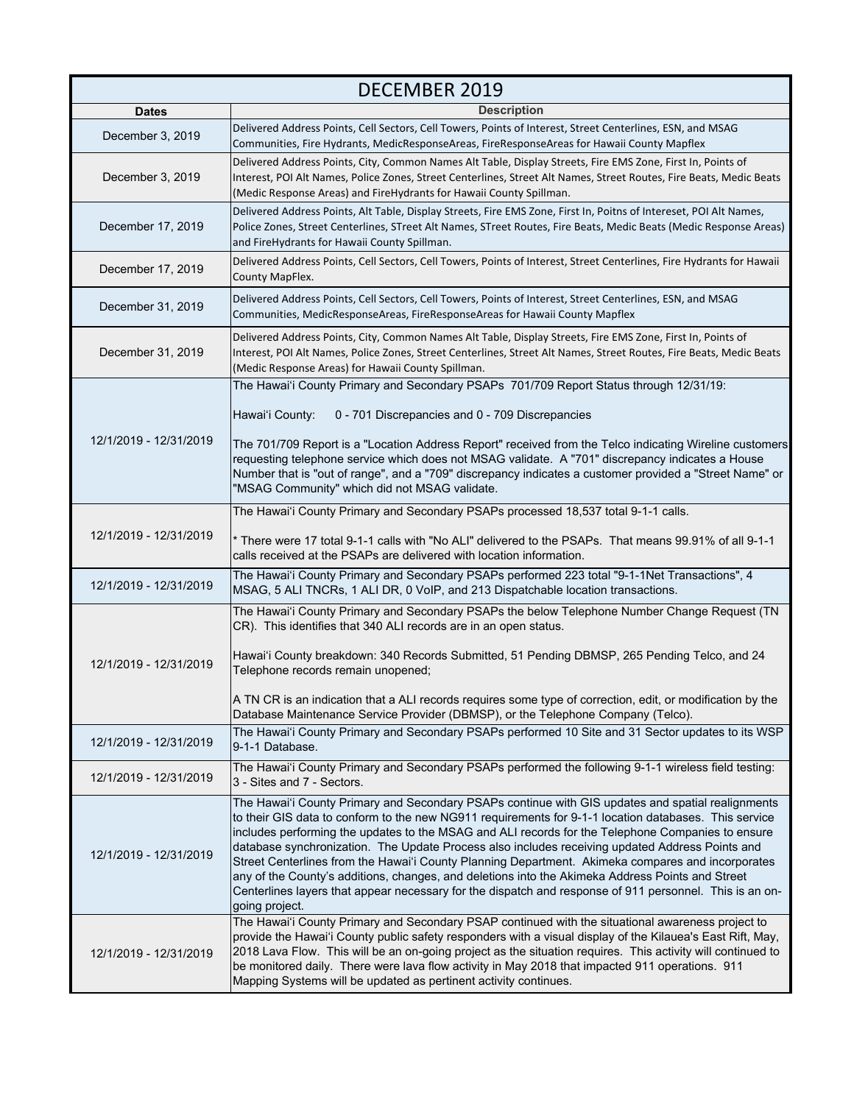| <b>DECEMBER 2019</b>   |                                                                                                                                                                                                                                                                                                                                                                                                                                                                                                                                                                                                                                                                                                                                                          |
|------------------------|----------------------------------------------------------------------------------------------------------------------------------------------------------------------------------------------------------------------------------------------------------------------------------------------------------------------------------------------------------------------------------------------------------------------------------------------------------------------------------------------------------------------------------------------------------------------------------------------------------------------------------------------------------------------------------------------------------------------------------------------------------|
| <b>Dates</b>           | <b>Description</b>                                                                                                                                                                                                                                                                                                                                                                                                                                                                                                                                                                                                                                                                                                                                       |
| December 3, 2019       | Delivered Address Points, Cell Sectors, Cell Towers, Points of Interest, Street Centerlines, ESN, and MSAG<br>Communities, Fire Hydrants, MedicResponseAreas, FireResponseAreas for Hawaii County Mapflex                                                                                                                                                                                                                                                                                                                                                                                                                                                                                                                                                |
| December 3, 2019       | Delivered Address Points, City, Common Names Alt Table, Display Streets, Fire EMS Zone, First In, Points of<br>Interest, POI Alt Names, Police Zones, Street Centerlines, Street Alt Names, Street Routes, Fire Beats, Medic Beats<br>(Medic Response Areas) and FireHydrants for Hawaii County Spillman.                                                                                                                                                                                                                                                                                                                                                                                                                                                |
| December 17, 2019      | Delivered Address Points, Alt Table, Display Streets, Fire EMS Zone, First In, Poitns of Intereset, POI Alt Names,<br>Police Zones, Street Centerlines, STreet Alt Names, STreet Routes, Fire Beats, Medic Beats (Medic Response Areas)<br>and FireHydrants for Hawaii County Spillman.                                                                                                                                                                                                                                                                                                                                                                                                                                                                  |
| December 17, 2019      | Delivered Address Points, Cell Sectors, Cell Towers, Points of Interest, Street Centerlines, Fire Hydrants for Hawaii<br>County MapFlex.                                                                                                                                                                                                                                                                                                                                                                                                                                                                                                                                                                                                                 |
| December 31, 2019      | Delivered Address Points, Cell Sectors, Cell Towers, Points of Interest, Street Centerlines, ESN, and MSAG<br>Communities, MedicResponseAreas, FireResponseAreas for Hawaii County Mapflex                                                                                                                                                                                                                                                                                                                                                                                                                                                                                                                                                               |
| December 31, 2019      | Delivered Address Points, City, Common Names Alt Table, Display Streets, Fire EMS Zone, First In, Points of<br>Interest, POI Alt Names, Police Zones, Street Centerlines, Street Alt Names, Street Routes, Fire Beats, Medic Beats<br>(Medic Response Areas) for Hawaii County Spillman.                                                                                                                                                                                                                                                                                                                                                                                                                                                                 |
| 12/1/2019 - 12/31/2019 | The Hawai'i County Primary and Secondary PSAPs 701/709 Report Status through 12/31/19:<br>Hawai'i County:<br>0 - 701 Discrepancies and 0 - 709 Discrepancies<br>The 701/709 Report is a "Location Address Report" received from the Telco indicating Wireline customers<br>requesting telephone service which does not MSAG validate. A "701" discrepancy indicates a House<br>Number that is "out of range", and a "709" discrepancy indicates a customer provided a "Street Name" or                                                                                                                                                                                                                                                                   |
| 12/1/2019 - 12/31/2019 | "MSAG Community" which did not MSAG validate.<br>The Hawai'i County Primary and Secondary PSAPs processed 18,537 total 9-1-1 calls.<br>f There were 17 total 9-1-1 calls with "No ALI" delivered to the PSAPs. That means 99.91% of all 9-1-1 *                                                                                                                                                                                                                                                                                                                                                                                                                                                                                                          |
|                        | calls received at the PSAPs are delivered with location information.                                                                                                                                                                                                                                                                                                                                                                                                                                                                                                                                                                                                                                                                                     |
| 12/1/2019 - 12/31/2019 | The Hawai'i County Primary and Secondary PSAPs performed 223 total "9-1-1Net Transactions", 4<br>MSAG, 5 ALI TNCRs, 1 ALI DR, 0 VoIP, and 213 Dispatchable location transactions.                                                                                                                                                                                                                                                                                                                                                                                                                                                                                                                                                                        |
| 12/1/2019 - 12/31/2019 | The Hawai'i County Primary and Secondary PSAPs the below Telephone Number Change Request (TN<br>CR). This identifies that 340 ALI records are in an open status.<br>Hawai'i County breakdown: 340 Records Submitted, 51 Pending DBMSP, 265 Pending Telco, and 24<br>Telephone records remain unopened;<br>A TN CR is an indication that a ALI records requires some type of correction, edit, or modification by the                                                                                                                                                                                                                                                                                                                                     |
|                        | Database Maintenance Service Provider (DBMSP), or the Telephone Company (Telco).<br>The Hawai'i County Primary and Secondary PSAPs performed 10 Site and 31 Sector updates to its WSP                                                                                                                                                                                                                                                                                                                                                                                                                                                                                                                                                                    |
| 12/1/2019 - 12/31/2019 | 9-1-1 Database.                                                                                                                                                                                                                                                                                                                                                                                                                                                                                                                                                                                                                                                                                                                                          |
| 12/1/2019 - 12/31/2019 | The Hawai'i County Primary and Secondary PSAPs performed the following 9-1-1 wireless field testing:<br>3 - Sites and 7 - Sectors.                                                                                                                                                                                                                                                                                                                                                                                                                                                                                                                                                                                                                       |
| 12/1/2019 - 12/31/2019 | The Hawai'i County Primary and Secondary PSAPs continue with GIS updates and spatial realignments<br>to their GIS data to conform to the new NG911 requirements for 9-1-1 location databases. This service<br>includes performing the updates to the MSAG and ALI records for the Telephone Companies to ensure<br>database synchronization. The Update Process also includes receiving updated Address Points and<br>Street Centerlines from the Hawai'i County Planning Department. Akimeka compares and incorporates<br>any of the County's additions, changes, and deletions into the Akimeka Address Points and Street<br>Centerlines layers that appear necessary for the dispatch and response of 911 personnel. This is an on-<br>going project. |
| 12/1/2019 - 12/31/2019 | The Hawai'i County Primary and Secondary PSAP continued with the situational awareness project to<br>provide the Hawai'i County public safety responders with a visual display of the Kilauea's East Rift, May,<br>2018 Lava Flow. This will be an on-going project as the situation requires. This activity will continued to<br>be monitored daily. There were lava flow activity in May 2018 that impacted 911 operations. 911<br>Mapping Systems will be updated as pertinent activity continues.                                                                                                                                                                                                                                                    |